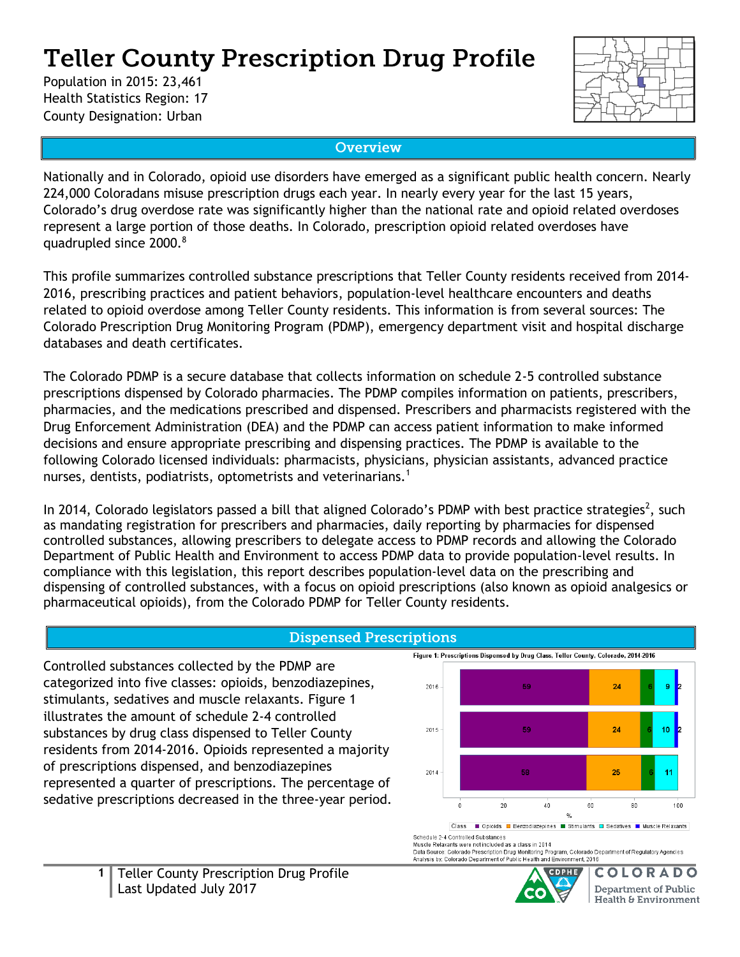# **Teller County Prescription Drug Profile**

Population in 2015: 23,461 Health Statistics Region: 17 County Designation: Urban



### **Overview**

Nationally and in Colorado, opioid use disorders have emerged as a significant public health concern. Nearly 224,000 Coloradans misuse prescription drugs each year. In nearly every year for the last 15 years, Colorado's drug overdose rate was significantly higher than the national rate and opioid related overdoses represent a large portion of those deaths. In Colorado, prescription opioid related overdoses have quadrupled since 2000.<sup>8</sup>

This profile summarizes controlled substance prescriptions that Teller County residents received from 2014- 2016, prescribing practices and patient behaviors, population-level healthcare encounters and deaths related to opioid overdose among Teller County residents. This information is from several sources: The Colorado Prescription Drug Monitoring Program (PDMP), emergency department visit and hospital discharge databases and death certificates.

The Colorado PDMP is a secure database that collects information on schedule 2-5 controlled substance prescriptions dispensed by Colorado pharmacies. The PDMP compiles information on patients, prescribers, pharmacies, and the medications prescribed and dispensed. Prescribers and pharmacists registered with the Drug Enforcement Administration (DEA) and the PDMP can access patient information to make informed decisions and ensure appropriate prescribing and dispensing practices. The PDMP is available to the following Colorado licensed individuals: pharmacists, physicians, physician assistants, advanced practice nurses, dentists, podiatrists, optometrists and veterinarians.<sup>1</sup>

In 2014, Colorado legislators passed a bill that aligned Colorado's PDMP with best practice strategies<sup>2</sup>, such as mandating registration for prescribers and pharmacies, daily reporting by pharmacies for dispensed controlled substances, allowing prescribers to delegate access to PDMP records and allowing the Colorado Department of Public Health and Environment to access PDMP data to provide population-level results. In compliance with this legislation, this report describes population-level data on the prescribing and dispensing of controlled substances, with a focus on opioid prescriptions (also known as opioid analgesics or pharmaceutical opioids), from the Colorado PDMP for Teller County residents.

### **Dispensed Prescriptions**

Controlled substances collected by the PDMP are categorized into five classes: opioids, benzodiazepines, stimulants, sedatives and muscle relaxants. Figure 1 illustrates the amount of schedule 2-4 controlled substances by drug class dispensed to Teller County residents from 2014-2016. Opioids represented a majority of prescriptions dispensed, and benzodiazepines represented a quarter of prescriptions. The percentage of sedative prescriptions decreased in the three-year period.



Class **Conserver Class** Class Class Class Class Class Class Class Class Class Class Schedule 2-4 Controlled Substances

Muscle Relaxants were not included as a class in 2014

musue remaximal were not incuracy as a class in 2014<br>Data Source: Colorado Prescription Drug Monitoring Program, Colorado Department of Regulatory Agencies<br>Analysis by: Colorado Department of Public Health and Environment,



C OLORADO **Department of Public** Health & Environment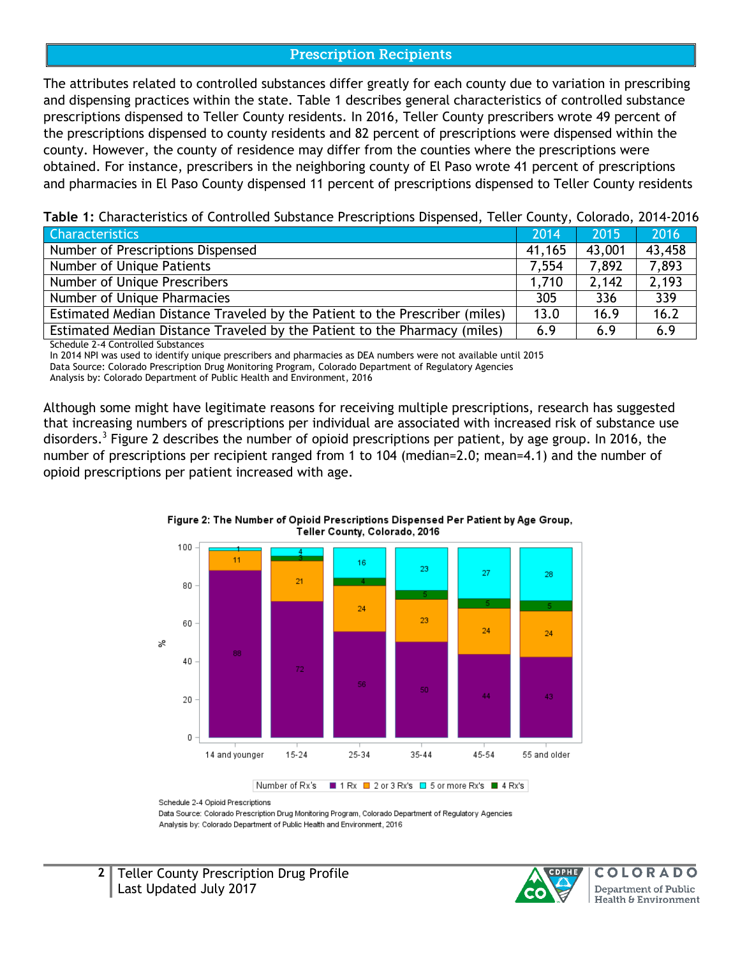### **Prescription Recipients**

The attributes related to controlled substances differ greatly for each county due to variation in prescribing and dispensing practices within the state. Table 1 describes general characteristics of controlled substance prescriptions dispensed to Teller County residents. In 2016, Teller County prescribers wrote 49 percent of the prescriptions dispensed to county residents and 82 percent of prescriptions were dispensed within the county. However, the county of residence may differ from the counties where the prescriptions were obtained. For instance, prescribers in the neighboring county of El Paso wrote 41 percent of prescriptions and pharmacies in El Paso County dispensed 11 percent of prescriptions dispensed to Teller County residents

| <b>Characteristics</b>                                                      | 2014   | 2015   | 2016   |
|-----------------------------------------------------------------------------|--------|--------|--------|
| Number of Prescriptions Dispensed                                           | 41,165 | 43,001 | 43,458 |
| Number of Unique Patients                                                   | 7.554  | 7,892  | 7,893  |
| Number of Unique Prescribers                                                | 1.710  | 2,142  | 2,193  |
| Number of Unique Pharmacies                                                 | 305    | 336    | 339    |
| Estimated Median Distance Traveled by the Patient to the Prescriber (miles) | 13.0   | 16.9   | 16.2   |
| Estimated Median Distance Traveled by the Patient to the Pharmacy (miles)   | 6.9    | 6.9    | 6.9    |

Schedule 2-4 Controlled Substances

In 2014 NPI was used to identify unique prescribers and pharmacies as DEA numbers were not available until 2015 Data Source: Colorado Prescription Drug Monitoring Program, Colorado Department of Regulatory Agencies

Analysis by: Colorado Department of Public Health and Environment, 2016

Although some might have legitimate reasons for receiving multiple prescriptions, research has suggested that increasing numbers of prescriptions per individual are associated with increased risk of substance use disorders.<sup>3</sup> Figure 2 describes the number of opioid prescriptions per patient, by age group. In 2016, the number of prescriptions per recipient ranged from 1 to 104 (median=2.0; mean=4.1) and the number of opioid prescriptions per patient increased with age.





Number of Rx's ■ 1 Rx ■ 2 or 3 Rx's ■ 5 or more Rx's ■ 4 Rx's

Data Source: Colorado Prescription Drug Monitoring Program, Colorado Department of Regulatory Agencies Analysis by: Colorado Department of Public Health and Environment, 2016



Schedule 2-4 Opioid Prescriptions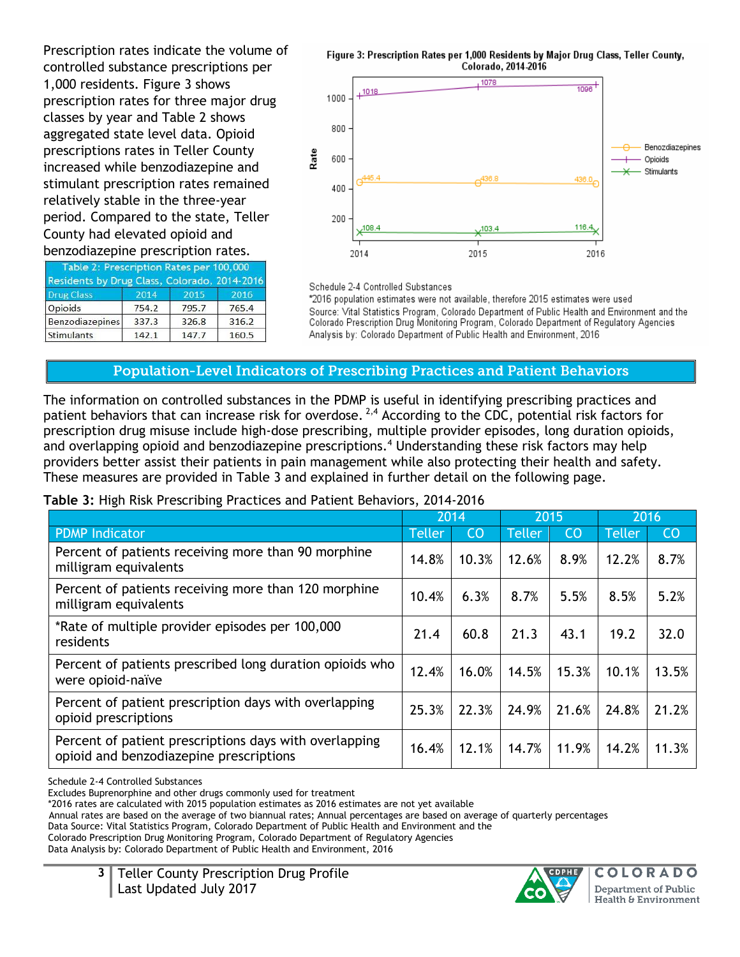Prescription rates indicate the volume of controlled substance prescriptions per 1,000 residents. Figure 3 shows prescription rates for three major drug classes by year and Table 2 shows aggregated state level data. Opioid prescriptions rates in Teller County increased while benzodiazepine and stimulant prescription rates remained relatively stable in the three-year period. Compared to the state, Teller County had elevated opioid and benzodiazepine prescription rates.

| Table 2: Prescription Rates per 100,000<br>Residents by Drug Class, Colorado, 2014-2016 |       |       |       |
|-----------------------------------------------------------------------------------------|-------|-------|-------|
| <b>Drug Class</b>                                                                       | 2014  | 2015  | 2016  |
| Opioids                                                                                 | 754.2 | 795.7 | 765.4 |
| Benzodiazepines                                                                         | 337.3 | 326.8 | 316.2 |
| Stimulants                                                                              | 142.1 | 147.7 | 160.5 |

Figure 3: Prescription Rates per 1,000 Residents by Major Drug Class, Teller County, Colorado, 2014-2016



Schedule 2-4 Controlled Substances

\*2016 population estimates were not available, therefore 2015 estimates were used Source: Vital Statistics Program, Colorado Department of Public Health and Environment and the Colorado Prescription Drug Monitoring Program, Colorado Department of Regulatory Agencies Analysis by: Colorado Department of Public Health and Environment, 2016

### Population-Level Indicators of Prescribing Practices and Patient Behaviors

The information on controlled substances in the PDMP is useful in identifying prescribing practices and patient behaviors that can increase risk for overdose. <sup>2,4</sup> According to the CDC, potential risk factors for prescription drug misuse include high-dose prescribing, multiple provider episodes, long duration opioids, and overlapping opioid and benzodiazepine prescriptions. <sup>4</sup> Understanding these risk factors may help providers better assist their patients in pain management while also protecting their health and safety. These measures are provided in Table 3 and explained in further detail on the following page.

### **Table 3:** High Risk Prescribing Practices and Patient Behaviors, 2014-2016

|                                                                                                   | 2014          |       | 2015          |           | 2016          |           |
|---------------------------------------------------------------------------------------------------|---------------|-------|---------------|-----------|---------------|-----------|
| <b>PDMP Indicator</b>                                                                             | <b>Teller</b> | CO    | <b>Teller</b> | <b>CO</b> | <b>Teller</b> | <b>CO</b> |
| Percent of patients receiving more than 90 morphine<br>milligram equivalents                      | 14.8%         | 10.3% | 12.6%         | 8.9%      | 12.2%         | 8.7%      |
| Percent of patients receiving more than 120 morphine<br>milligram equivalents                     | 10.4%         | 6.3%  | 8.7%          | 5.5%      | 8.5%          | 5.2%      |
| *Rate of multiple provider episodes per 100,000<br>residents                                      | 21.4          | 60.8  | 21.3          | 43.1      | 19.2          | 32.0      |
| Percent of patients prescribed long duration opioids who<br>were opioid-naïve                     | 12.4%         | 16.0% | 14.5%         | 15.3%     | 10.1%         | 13.5%     |
| Percent of patient prescription days with overlapping<br>opioid prescriptions                     | 25.3%         | 22.3% | 24.9%         | 21.6%     | 24.8%         | 21.2%     |
| Percent of patient prescriptions days with overlapping<br>opioid and benzodiazepine prescriptions | 16.4%         | 12.1% | 14.7%         | 11.9%     | 14.2%         | 11.3%     |

Schedule 2-4 Controlled Substances

Excludes Buprenorphine and other drugs commonly used for treatment

\*2016 rates are calculated with 2015 population estimates as 2016 estimates are not yet available

Annual rates are based on the average of two biannual rates; Annual percentages are based on average of quarterly percentages

Data Source: Vital Statistics Program, Colorado Department of Public Health and Environment and the

Colorado Prescription Drug Monitoring Program, Colorado Department of Regulatory Agencies

Data Analysis by: Colorado Department of Public Health and Environment, 2016

**3** Teller County Prescription Drug Profile Last Updated July 2017



C OIORA **Department of Public** Health & Environment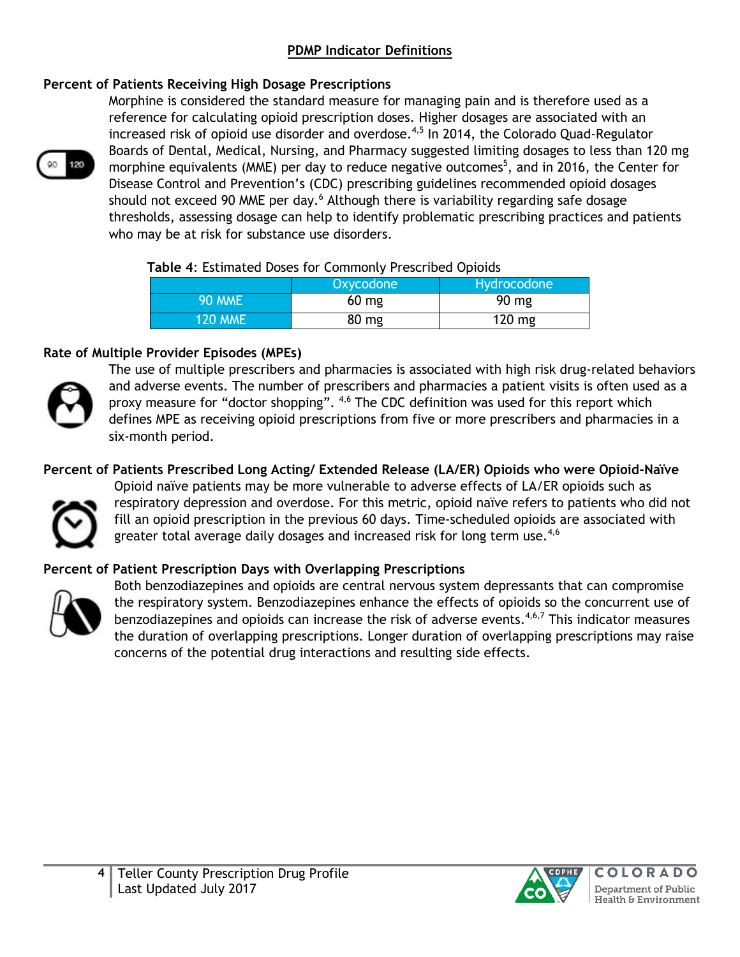### **PDMP Indicator Definitions**

### **Percent of Patients Receiving High Dosage Prescriptions**



Morphine is considered the standard measure for managing pain and is therefore used as a reference for calculating opioid prescription doses. Higher dosages are associated with an increased risk of opioid use disorder and overdose.<sup>4,5</sup> In 2014, the Colorado Quad-Regulator Boards of Dental, Medical, Nursing, and Pharmacy suggested limiting dosages to less than 120 mg morphine equivalents (MME) per day to reduce negative outcomes<sup>5</sup>, and in 2016, the Center for Disease Control and Prevention's (CDC) prescribing guidelines recommended opioid dosages should not exceed 90 MME per day.<sup>6</sup> Although there is variability regarding safe dosage thresholds, assessing dosage can help to identify problematic prescribing practices and patients who may be at risk for substance use disorders.

#### **Table 4**: Estimated Doses for Commonly Prescribed Opioids

|                | Oxycodone | Hydrocodone |
|----------------|-----------|-------------|
| <b>90 MME</b>  | $60$ mg   | 90 mg       |
| <b>120 MME</b> | 80 mg     | 120 mg      |

### **Rate of Multiple Provider Episodes (MPEs)**



The use of multiple prescribers and pharmacies is associated with high risk drug-related behaviors and adverse events. The number of prescribers and pharmacies a patient visits is often used as a proxy measure for "doctor shopping". <sup>4,6</sup> The CDC definition was used for this report which defines MPE as receiving opioid prescriptions from five or more prescribers and pharmacies in a six-month period.

**Percent of Patients Prescribed Long Acting/ Extended Release (LA/ER) Opioids who were Opioid-Naïve**



Opioid naïve patients may be more vulnerable to adverse effects of LA/ER opioids such as respiratory depression and overdose. For this metric, opioid naïve refers to patients who did not fill an opioid prescription in the previous 60 days. Time-scheduled opioids are associated with greater total average daily dosages and increased risk for long term use. $4,6$ 

### **Percent of Patient Prescription Days with Overlapping Prescriptions**



Both benzodiazepines and opioids are central nervous system depressants that can compromise the respiratory system. Benzodiazepines enhance the effects of opioids so the concurrent use of benzodiazepines and opioids can increase the risk of adverse events.<sup>4,6,7</sup> This indicator measures the duration of overlapping prescriptions. Longer duration of overlapping prescriptions may raise concerns of the potential drug interactions and resulting side effects.

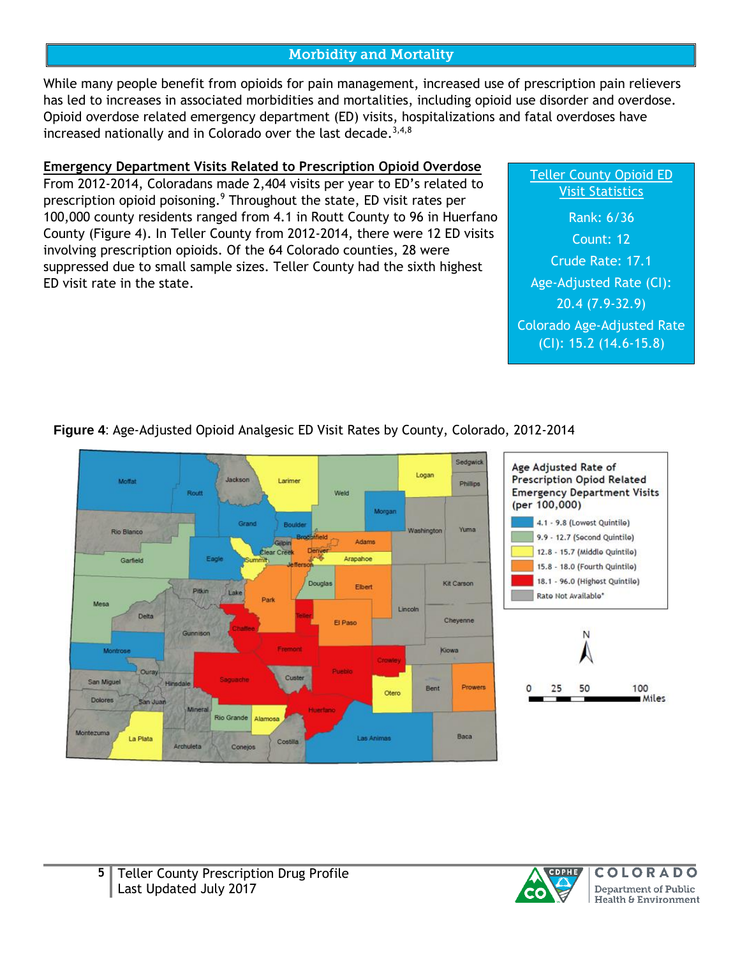### **Morbidity and Mortality**

While many people benefit from opioids for pain management, increased use of prescription pain relievers has led to increases in associated morbidities and mortalities, including opioid use disorder and overdose. Opioid overdose related emergency department (ED) visits, hospitalizations and fatal overdoses have increased nationally and in Colorado over the last decade. $3,4,8$ 

### **Emergency Department Visits Related to Prescription Opioid Overdose**

From 2012-2014, Coloradans made 2,404 visits per year to ED's related to prescription opioid poisoning.<sup>9</sup> Throughout the state, ED visit rates per 100,000 county residents ranged from 4.1 in Routt County to 96 in Huerfano County (Figure 4). In Teller County from 2012-2014, there were 12 ED visits involving prescription opioids. Of the 64 Colorado counties, 28 were suppressed due to small sample sizes. Teller County had the sixth highest ED visit rate in the state.

### Teller County Opioid ED Visit Statistics

Rank: 6/36 Count: 12 Crude Rate: 17.1 Age-Adjusted Rate (CI): 20.4 (7.9-32.9) Colorado Age-Adjusted Rate (CI): 15.2 (14.6-15.8)

# **Figure 4**: Age-Adjusted Opioid Analgesic ED Visit Rates by County, Colorado, 2012-2014





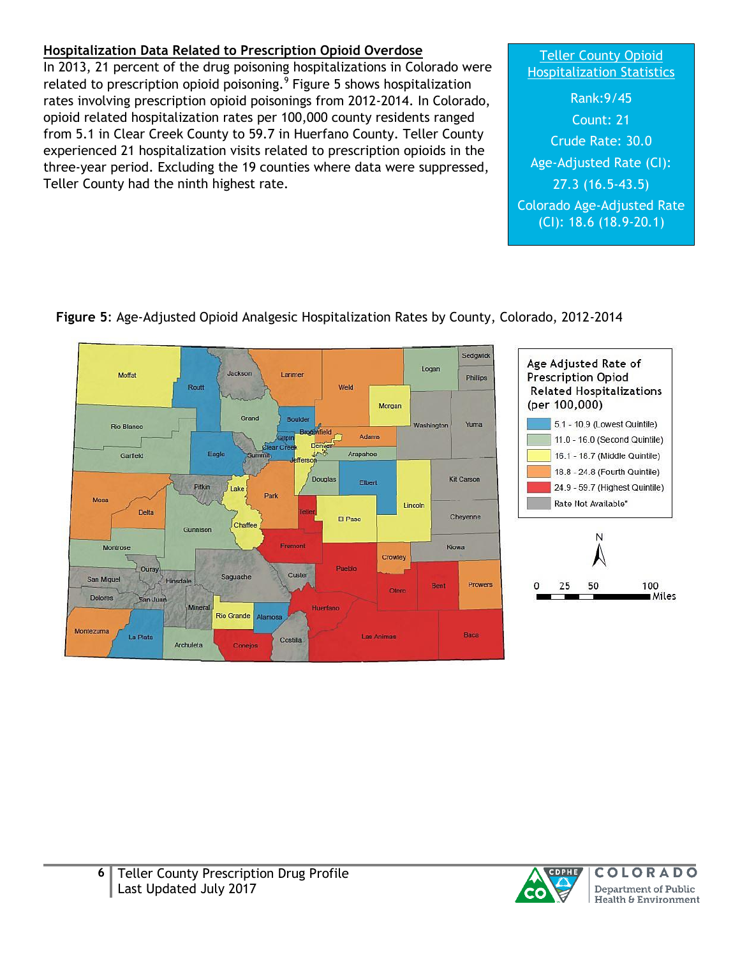# **Hospitalization Data Related to Prescription Opioid Overdose**

In 2013, 21 percent of the drug poisoning hospitalizations in Colorado were related to prescription opioid poisoning.<sup>9</sup> Figure 5 shows hospitalization rates involving prescription opioid poisonings from 2012-2014. In Colorado, opioid related hospitalization rates per 100,000 county residents ranged from 5.1 in Clear Creek County to 59.7 in Huerfano County. Teller County experienced 21 hospitalization visits related to prescription opioids in the three-year period. Excluding the 19 counties where data were suppressed, Teller County had the ninth highest rate.

### Teller County Opioid **Hospitalization Statistics**

Rank:9/45 Count: 21 Crude Rate: 30.0 Age-Adjusted Rate (CI): 27.3 (16.5-43.5) Colorado Age-Adjusted Rate (CI): 18.6 (18.9-20.1)



### **Figure 5**: Age-Adjusted Opioid Analgesic Hospitalization Rates by County, Colorado, 2012-2014





Miles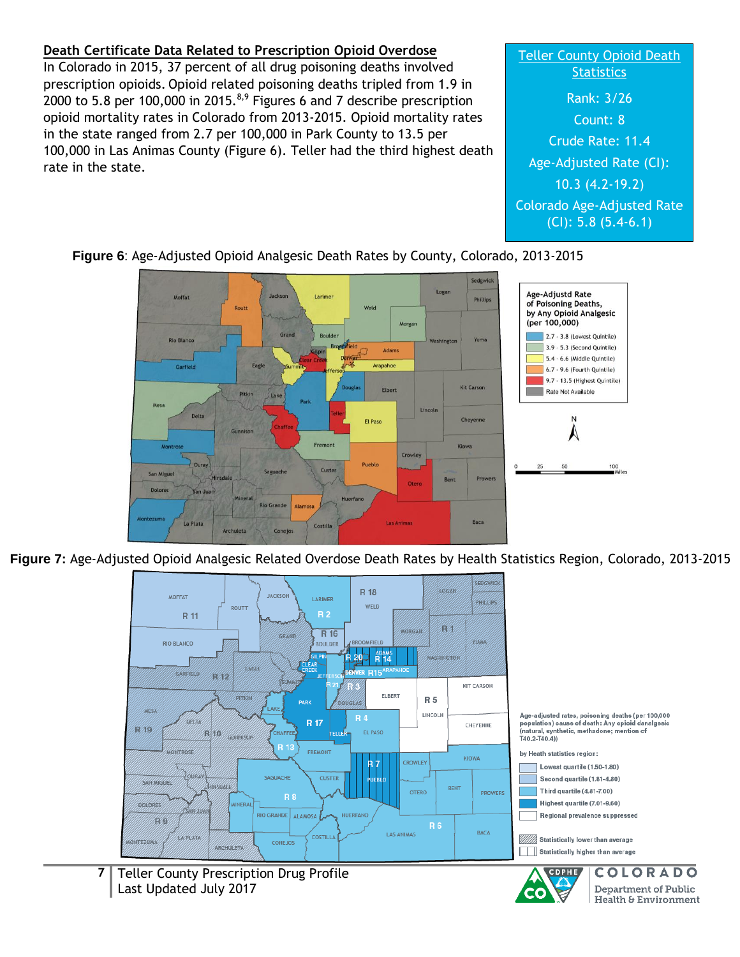### **Death Certificate Data Related to Prescription Opioid Overdose**

In Colorado in 2015, 37 percent of all drug poisoning deaths involved prescription opioids. Opioid related poisoning deaths tripled from 1.9 in 2000 to 5.8 per 100,000 in 2015. $^{8,9}$  Figures 6 and 7 describe prescription opioid mortality rates in Colorado from 2013-2015. Opioid mortality rates in the state ranged from 2.7 per 100,000 in Park County to 13.5 per 100,000 in Las Animas County (Figure 6). Teller had the third highest death rate in the state.

# Teller County Opioid Death **Statistics** Rank: 3/26 Count: 8 Crude Rate: 11.4 Age-Adjusted Rate (CI): 10.3 (4.2-19.2) Colorado Age-Adjusted Rate (CI): 5.8 (5.4-6.1)

**Department of Public** 

Health & Environment

CO





**Figure 7:** Age-Adjusted Opioid Analgesic Related Overdose Death Rates by Health Statistics Region, Colorado, 2013-2015



**7** Teller County Prescription Drug Profile Last Updated July 2017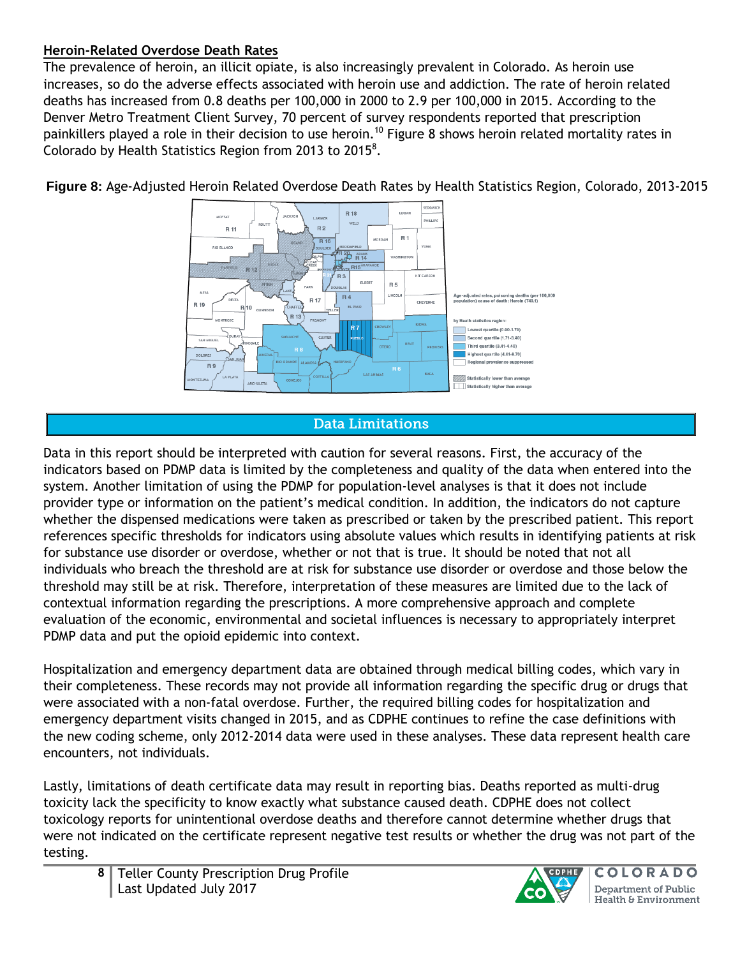### **Heroin-Related Overdose Death Rates**

The prevalence of heroin, an illicit opiate, is also increasingly prevalent in Colorado. As heroin use increases, so do the adverse effects associated with heroin use and addiction. The rate of heroin related deaths has increased from 0.8 deaths per 100,000 in 2000 to 2.9 per 100,000 in 2015. According to the Denver Metro Treatment Client Survey, 70 percent of survey respondents reported that prescription painkillers played a role in their decision to use heroin.<sup>10</sup> Figure 8 shows heroin related mortality rates in Colorado by Health Statistics Region from 2013 to 2015<sup>8</sup>.



**Figure 8:** Age-Adjusted Heroin Related Overdose Death Rates by Health Statistics Region, Colorado, 2013-2015

### **Data Limitations**

Data in this report should be interpreted with caution for several reasons. First, the accuracy of the indicators based on PDMP data is limited by the completeness and quality of the data when entered into the system. Another limitation of using the PDMP for population-level analyses is that it does not include provider type or information on the patient's medical condition. In addition, the indicators do not capture whether the dispensed medications were taken as prescribed or taken by the prescribed patient. This report references specific thresholds for indicators using absolute values which results in identifying patients at risk for substance use disorder or overdose, whether or not that is true. It should be noted that not all individuals who breach the threshold are at risk for substance use disorder or overdose and those below the threshold may still be at risk. Therefore, interpretation of these measures are limited due to the lack of contextual information regarding the prescriptions. A more comprehensive approach and complete evaluation of the economic, environmental and societal influences is necessary to appropriately interpret PDMP data and put the opioid epidemic into context.

Hospitalization and emergency department data are obtained through medical billing codes, which vary in their completeness. These records may not provide all information regarding the specific drug or drugs that were associated with a non-fatal overdose. Further, the required billing codes for hospitalization and emergency department visits changed in 2015, and as CDPHE continues to refine the case definitions with the new coding scheme, only 2012-2014 data were used in these analyses. These data represent health care encounters, not individuals.

Lastly, limitations of death certificate data may result in reporting bias. Deaths reported as multi-drug toxicity lack the specificity to know exactly what substance caused death. CDPHE does not collect toxicology reports for unintentional overdose deaths and therefore cannot determine whether drugs that were not indicated on the certificate represent negative test results or whether the drug was not part of the testing.

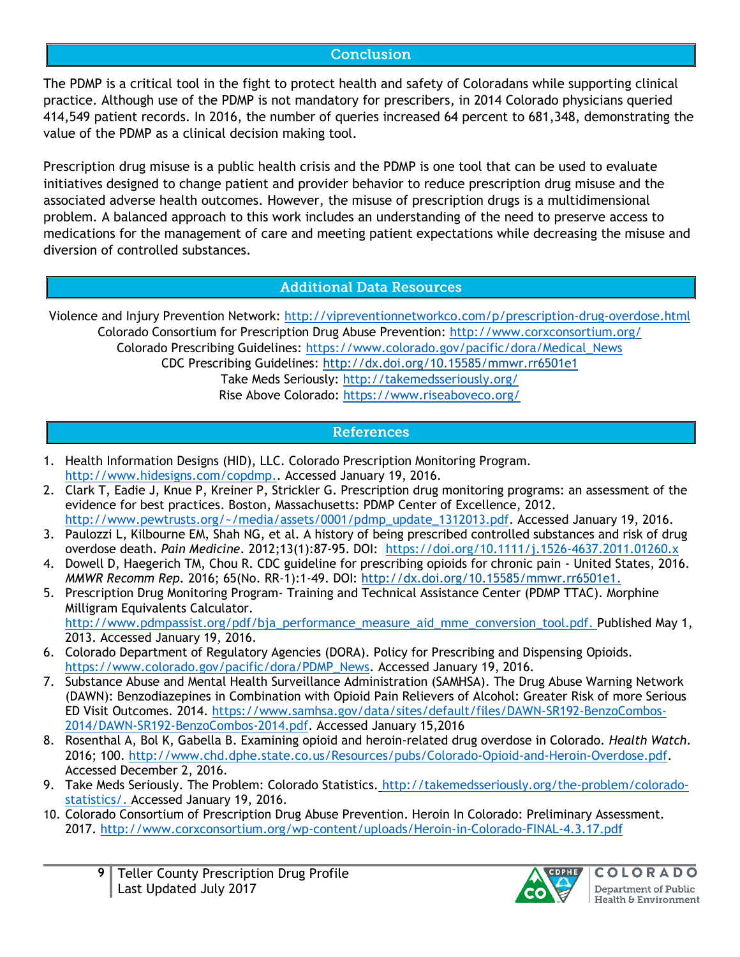### **Conclusion**

The PDMP is a critical tool in the fight to protect health and safety of Coloradans while supporting clinical practice. Although use of the PDMP is not mandatory for prescribers, in 2014 Colorado physicians queried 414,549 patient records. In 2016, the number of queries increased 64 percent to 681,348, demonstrating the value of the PDMP as a clinical decision making tool.

Prescription drug misuse is a public health crisis and the PDMP is one tool that can be used to evaluate initiatives designed to change patient and provider behavior to reduce prescription drug misuse and the associated adverse health outcomes. However, the misuse of prescription drugs is a multidimensional problem. A balanced approach to this work includes an understanding of the need to preserve access to medications for the management of care and meeting patient expectations while decreasing the misuse and diversion of controlled substances.

### **Additional Data Resources**

Violence and Injury Prevention Network:<http://vipreventionnetworkco.com/p/prescription-drug-overdose.html> Colorado Consortium for Prescription Drug Abuse Prevention:<http://www.corxconsortium.org/> Colorado Prescribing Guidelines: [https://www.colorado.gov/pacific/dora/Medical\\_News](https://www.colorado.gov/pacific/dora/Medical_News) CDC Prescribing Guidelines:<http://dx.doi.org/10.15585/mmwr.rr6501e1> Take Meds Seriously:<http://takemedsseriously.org/>

Rise Above Colorado:<https://www.riseaboveco.org/>

### **References**

- 1. Health Information Designs (HID), LLC. Colorado Prescription Monitoring Program. [http://www.hidesigns.com/copdmp.](http://www.hidesigns.com/copdmp). Accessed January 19, 2016.
- 2. Clark T, Eadie J, Knue P, Kreiner P, Strickler G. Prescription drug monitoring programs: an assessment of the evidence for best practices. Boston, Massachusetts: PDMP Center of Excellence, 2012. [http://www.pewtrusts.org/~/media/assets/0001/pdmp\\_update\\_1312013.pdf.](http://www.pewtrusts.org/~/media/assets/0001/pdmp_update_1312013.pdf) Accessed January 19, 2016.
- 3. Paulozzi L, Kilbourne EM, Shah NG, et al. A history of being prescribed controlled substances and risk of drug overdose death. *Pain Medicine*. 2012;13(1):87-95. DOI: <https://doi.org/10.1111/j.1526-4637.2011.01260.x>
- 4. Dowell D, Haegerich TM, Chou R. CDC guideline for prescribing opioids for chronic pain United States, 2016. *MMWR Recomm Rep.* 2016; 65(No. RR-1):1-49. DOI: [http://dx.doi.org/10.15585/mmwr.rr6501e1.](http://dx.doi.org/10.15585/mmwr.rr6501e1)
- 5. Prescription Drug Monitoring Program- Training and Technical Assistance Center (PDMP TTAC). Morphine Milligram Equivalents Calculator. [http://www.pdmpassist.org/pdf/bja\\_performance\\_measure\\_aid\\_mme\\_conversion\\_tool.pdf.](http://www.pdmpassist.org/pdf/bja_performance_measure_aid_mme_conversion_tool.pdf) Published May 1, 2013. Accessed January 19, 2016.
- 6. Colorado Department of Regulatory Agencies (DORA). Policy for Prescribing and Dispensing Opioids. [https://www.colorado.gov/pacific/dora/PDMP\\_News.](https://www.colorado.gov/pacific/dora/PDMP_News) Accessed January 19, 2016.
- 7. Substance Abuse and Mental Health Surveillance Administration (SAMHSA). The Drug Abuse Warning Network (DAWN): Benzodiazepines in Combination with Opioid Pain Relievers of Alcohol: Greater Risk of more Serious ED Visit Outcomes. 2014. [https://www.samhsa.gov/data/sites/default/files/DAWN-SR192-BenzoCombos-](https://www.samhsa.gov/data/sites/default/files/DAWN-SR192-BenzoCombos-2014/DAWN-SR192-BenzoCombos-2014.pdf)[2014/DAWN-SR192-BenzoCombos-2014.pdf.](https://www.samhsa.gov/data/sites/default/files/DAWN-SR192-BenzoCombos-2014/DAWN-SR192-BenzoCombos-2014.pdf) Accessed January 15,2016
- 8. Rosenthal A, Bol K, Gabella B. Examining opioid and heroin-related drug overdose in Colorado. *Health Watch.*  2016; 100. [http://www.chd.dphe.state.co.us/Resources/pubs/Colorado-Opioid-and-Heroin-Overdose.pdf.](http://www.chd.dphe.state.co.us/Resources/pubs/Colorado-Opioid-and-Heroin-Overdose.pdf) Accessed December 2, 2016.
- 9. Take Meds Seriously. The Problem: Colorado Statistics. [http://takemedsseriously.org/the-problem/colorado](http://takemedsseriously.org/the-problem/colorado-statistics/)[statistics/.](http://takemedsseriously.org/the-problem/colorado-statistics/) Accessed January 19, 2016.
- 10. Colorado Consortium of Prescription Drug Abuse Prevention. Heroin In Colorado: Preliminary Assessment. 2017.<http://www.corxconsortium.org/wp-content/uploads/Heroin-in-Colorado-FINAL-4.3.17.pdf>